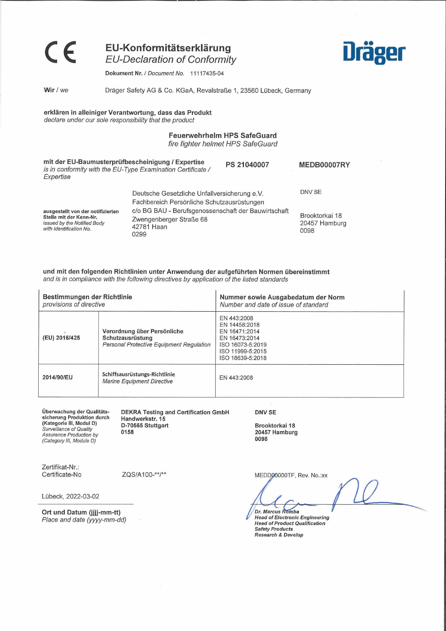**EU-Konformitätserklärung** *EU-Declaration of Conformity*

**Dräger**

Dokument **Nr.** / *Document No.* 11117435-04

**Wir /** *we* Dräger Safety AG & Co. KGaA, Revalstraße 1, 23560 Lübeck, Germany

## **erklären in alleiniger Verantwortung, dass das Produkt** *declare under our sole responsibility that the product*

# **Feuerwehrhelm HPS SafeGuard** *fire fighter helmet HPS SafeGuard*

| mit der EU-Baumusterprüfbescheinigung / Expertise<br>is in conformity with the EU-Type Examination Certificate /<br>Expertise |                                                                                                      | PS 21040007 | MEDB00007RY                             |
|-------------------------------------------------------------------------------------------------------------------------------|------------------------------------------------------------------------------------------------------|-------------|-----------------------------------------|
| Deutsche Gesetzliche Unfallversicherung e.V.<br>Fachbereich Persönliche Schutzausrüstungen                                    |                                                                                                      | DNV SE      |                                         |
| ausgestellt von der notifizierten<br>Stelle mit der Kenn-Nr.<br>issued by the Notified Body<br>with Identification No.        | c/o BG BAU - Berufsgenossenschaft der Bauwirtschaft<br>Zwengenberger Straße 68<br>42781 Haan<br>0299 |             | Brooktorkai 18<br>20457 Hamburg<br>0098 |

## **und mit den folgenden Richtlinien unter Anwendung der aufgeführten Normen übereinstimmt** *and is in compliance with the following directives by application ofthe listed Standards*

| Bestimmungen der Richtlinie<br>provisions of directive |                                                                                                    | Nummer sowie Ausgabedatum der Norm<br>Number and date of issue of standard                                                 |  |  |
|--------------------------------------------------------|----------------------------------------------------------------------------------------------------|----------------------------------------------------------------------------------------------------------------------------|--|--|
| (EU) 2016/425                                          | Verordnung über Persönliche<br>Schutzausrüstung<br><b>Personal Protective Equipment Regulation</b> | EN 443:2008<br>EN 14458:2018<br>EN 16471:2014<br>EN 16473:2014<br>ISO 16073-5:2019<br>ISO 11999-5:2015<br>ISO 18639-5:2018 |  |  |
| 2014/90/EU                                             | Schiffsausrüstungs-Richtlinie<br><b>Marine Equipment Directive</b>                                 | EN 443:2008                                                                                                                |  |  |

**Überwachung der Qualitätssicherung Produktion durch (Kategorie III, Modul D)** *Surveillance of Quality Assurance Production by (Category III, Module D)*

**DEKRA Testing and Certification GmbH Handwerkstr. 15 D-70565 Stuttgart 0158**

**DNV SE**

**Brooktorkai 18 20457 Hamburg 0098**

Zertifikat-Nr.:<br>Certificate-No

ZQS/A100-\*\*/\*\*

Lübeck, 2022-03-02

**Ort und Datum (jjjj-mm-tt)** *Place and date (yyyy-mm-dd)* MEDD00000TF, Rev. No.:xx

Dr. Marcus Romba

**Head of Electronic Engineering** *Safety Products Research & Develop*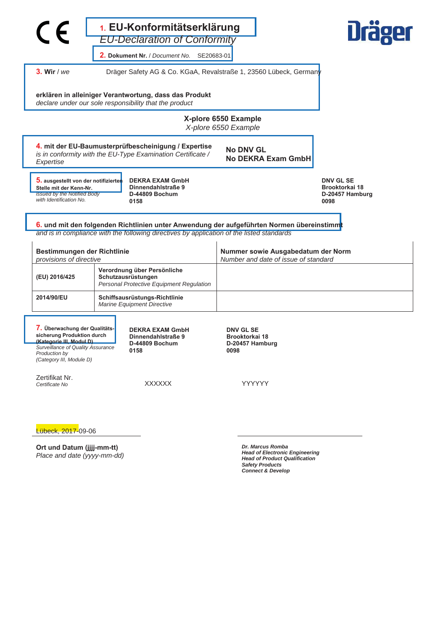|                                                                                                                                                                                                    | $\epsilon$                                                                                                                                                                |  | 1. EU-Konformitätserklärung                                                                                                                                                             |                                                               |                    | <b>Dräger</b>                                                        |
|----------------------------------------------------------------------------------------------------------------------------------------------------------------------------------------------------|---------------------------------------------------------------------------------------------------------------------------------------------------------------------------|--|-----------------------------------------------------------------------------------------------------------------------------------------------------------------------------------------|---------------------------------------------------------------|--------------------|----------------------------------------------------------------------|
|                                                                                                                                                                                                    |                                                                                                                                                                           |  | <b>EU-Declaration of Conformity</b><br>2. Dokument Nr. / Document No.<br>SE20683-01                                                                                                     |                                                               |                    |                                                                      |
|                                                                                                                                                                                                    | $3.$ Wir / we                                                                                                                                                             |  | Dräger Safety AG & Co. KGaA, Revalstraße 1, 23560 Lübeck, Germany                                                                                                                       |                                                               |                    |                                                                      |
|                                                                                                                                                                                                    |                                                                                                                                                                           |  | erklären in alleiniger Verantwortung, dass das Produkt<br>declare under our sole responsibility that the product                                                                        |                                                               |                    |                                                                      |
|                                                                                                                                                                                                    |                                                                                                                                                                           |  |                                                                                                                                                                                         | X-plore 6550 Example<br>X-plore 6550 Example                  |                    |                                                                      |
|                                                                                                                                                                                                    | Expertise                                                                                                                                                                 |  | 4. mit der EU-Baumusterprüfbescheinigung / Expertise<br>is in conformity with the EU-Type Examination Certificate /                                                                     | <b>No DNV GL</b>                                              | No DEKRA Exam GmbH |                                                                      |
|                                                                                                                                                                                                    | 5. ausgestellt von der notifizierten<br>Stelle mit der Kenn-Nr.<br>issued by the Notified Body<br>with Identification No.                                                 |  | <b>DEKRA EXAM GmbH</b><br>Dinnendahlstraße 9<br>D-44809 Bochum<br>0158                                                                                                                  |                                                               |                    | <b>DNV GL SE</b><br><b>Brooktorkai 18</b><br>D-20457 Hamburg<br>0098 |
|                                                                                                                                                                                                    |                                                                                                                                                                           |  | 6. und mit den folgenden Richtlinien unter Anwendung der aufgeführten Normen übereinstimmt<br>and is in compliance with the following directives by application of the listed standards |                                                               |                    |                                                                      |
| Bestimmungen der Richtlinie<br>provisions of directive                                                                                                                                             |                                                                                                                                                                           |  | Nummer sowie Ausgabedatum der Norm<br>Number and date of issue of standard                                                                                                              |                                                               |                    |                                                                      |
| Verordnung über Persönliche<br>Schutzausrüstungen<br>(EU) 2016/425<br>Personal Protective Equipment Regulation<br>2014/90/EU<br>Schiffsausrüstungs-Richtlinie<br><b>Marine Equipment Directive</b> |                                                                                                                                                                           |  |                                                                                                                                                                                         |                                                               |                    |                                                                      |
|                                                                                                                                                                                                    |                                                                                                                                                                           |  |                                                                                                                                                                                         |                                                               |                    |                                                                      |
|                                                                                                                                                                                                    | 7. Überwachung der Qualitäts-<br>sicherung Produktion durch<br>(Kategorie III, Modul D)<br>Surveillance of Quality Assurance<br>Production by<br>(Category III, Module D) |  | <b>DEKRA EXAM GmbH</b><br>Dinnendahlstraße 9<br>D-44809 Bochum<br>0158                                                                                                                  | <b>DNV GL SE</b><br>Brooktorkai 18<br>D-20457 Hamburg<br>0098 |                    |                                                                      |
|                                                                                                                                                                                                    | Zertifikat Nr.<br>Certificate No                                                                                                                                          |  | <b>XXXXXX</b>                                                                                                                                                                           | YYYYYY                                                        |                    |                                                                      |
|                                                                                                                                                                                                    | Lübeck, 2017-09-06                                                                                                                                                        |  |                                                                                                                                                                                         |                                                               |                    |                                                                      |

**Ort und Datum (jjjj-mm-tt)** *Place and date (yyyy-mm-dd)*  *Dr. Marcus Romba Head of Electronic Engineering Head of Product Qualification Safety Products Connect & Develop*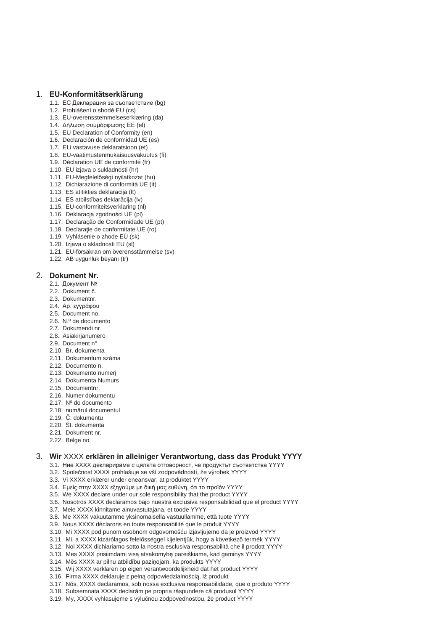# 1. **EU-Konformitätserklärung**

- 1.1. ЕС Декларация за съответствие (bg)
- 1.2. Prohlášení o shodě EU (cs)
- 1.3. EU-overensstemmelseserklæring (da)
- 1.4. Δήλωση συμμόρφωσης ΕΕ (el)
- 1.5. EU Declaration of Conformity (en)
- 1.6. Declaración de conformidad UE (es)
- 1.7. ELi vastavuse deklaratsioon (et) 1.8. EU-vaatimustenmukaisuusvakuutus (fi)
- 1.9. Déclaration UE de conformité (fr)
- 1.10. EU izjava o sukladnosti (hr)
- 1.11. EU-Megfelelőségi nyilatkozat (hu)
- 1.12. Dichiarazione di conformità UE (it)
- 1.13. ES atitikties deklaracija (lt)
- 1.14. ES atbilstības deklarācija (lv)
- 1.15. EU-conformiteitsverklaring (nl)
- 1.16. Deklaracja zgodnoĞci UE (pl)
- 1.17. Declaração de Conformidade UE (pt)
- 1.18. Declaratie de conformitate UE (ro)
- 1.19. Vyhlásenie o zhode EÚ (sk)
- 1.20. Izjava o skladnosti EU (sl)
- 1.21. EU-försäkran om överensstämmelse (sv)
- 1.22. AB uygunluk beyanı (tr)

# 2. Dokument Nr.

- 2.1. Документ №
- 2.2. Dokument č.
- 2.3. Dokumentnr.
- 2.4. Ap. εγγράφου
- 2.5. Document no.
- 2.6. N.º de documento
- 2.7. Dokumendi nr
- 2.8. Asiakirjanumero
- 2.9. Document n°
- 2.10. Br. dokumenta
- 2.11. Dokumentum száma
- 2.12. Documento n.
- 2.13. Dokumento numeri
- 2.14. Dokumenta Numurs
- 2.15. Documentnr.
- 2.16. Numer dokumentu
- 2.17. Nº do documento
- 2.18. numărul documentul
- 2.19. ý. dokumentu
- 2.20. Št. dokumenta
- 2.21. Dokument nr.
- 2.22. Belge no.

# 3. Wir XXXX erklären in alleiniger Verantwortung, dass das Produkt YYYY

- 3.1. Ние XXXX декларираме с цялата отговорност, че продуктът съответства YYYY
- 3.2. Společnost XXXX prohlašuje se vší zodpovědností, že výrobek YYYY
- 3.3. Vi XXXX erklærer under eneansvar, at produktet YYYY
- 3.4. Εμείς στην ΧΧΧΧ εξηγούμε με δική μας ευθύνη, ότι το προϊόν ΥΥΥΥ
- 3.5. We XXXX declare under our sole responsibility that the product YYYY
- 3.6. Nosotros XXXX declaramos bajo nuestra exclusiva responsabilidad que el product YYYY
- 3.7. Meie XXXX kinnitame ainuvastutajana, et toode YYYY
- 3.8. Me XXXX vakuutamme yksinomaisella vastuullamme, että tuote YYYY
- 3.9. Nous XXXX déclarons en toute responsabilité que le produit YYYY
- 3.10. Mi XXXX pod punom osobnom odgovornošću izjavljujemo da je proizvod YYYY
- 3.11. Mi, a XXXX kizárólagos felelősséggel kijelentjük, hogy a következő termék YYYY
- 3.12. Noi XXXX dichiariamo sotto la nostra esclusiva responsabilità che il prodott YYYY
- 3.13. Mes XXXX prisiimdami visą atsakomybę pareiškiame, kad gaminys YYYY
- 3.14. Mēs XXXX ar pilnu atbildību paziņojam, ka produkts YYYY
- 3.15. Wij XXXX verklaren op eigen verantwoordelijkheid dat het product YYYY
- 3.16. Firma XXXX deklaruje z pełną odpowiedzialnością, iż produkt
- 3.17. Nós, XXXX declaramos, sob nossa exclusiva responsabilidade, que o produto YYYY
- 3.18. Subsemnata XXXX declarăm pe propria răspundere că produsul YYYY
- 3.19. My, XXXX vyhlasujeme s výlučnou zodpovednosťou, že product YYYY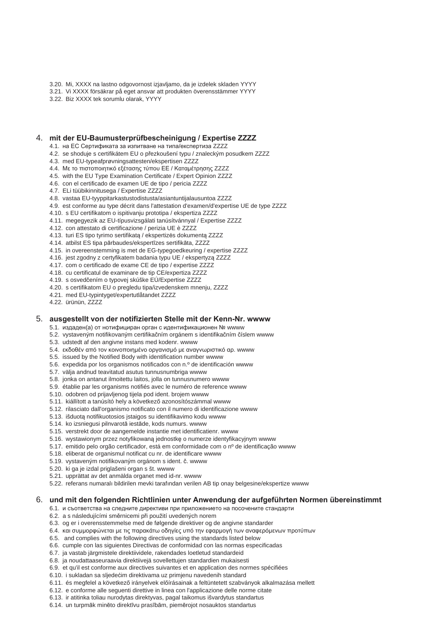- 3.20. Mi, XXXX na lastno odgovornost izjavljamo, da je izdelek skladen YYYY
- 3.21. Vi XXXX försäkrar på eget ansvar att produkten överensstämmer YYYY
- 3.22. Biz XXXX tek sorumlu olarak, YYYY

#### 4. mit der EU-Baumusterprüfbescheinigung / Expertise ZZZZ

- 4.1. на ЕС Сертификата за изпитване на типа/експертиза ZZZZ
- 4.2. se shoduje s certifikátem EU o přezkoušení tvou / znaleckým posudkem ZZZZ
- 4.3. med EU-typeafprøyningsattesten/ekspertisen ZZZZ
- 4.4. Με το πιστοποιητικό εξέτασης τύπου ΕΕ / Καταμέτρησης ΖΖΖΖ
- 4.5. with the EU Type Examination Certificate / Expert Opinion ZZZZ
- 4.6. con el certificado de examen UE de tipo / pericia ZZZZ
- 4.7. ELi tüübikinnitusega / Expertise ZZZZ
- 4.8. vastaa EU-tyyppitarkastustodistusta/asiantuntijalausuntoa ZZZZ
- 4.9. est conforme au type décrit dans l'attestation d'examen/d'expertise UE de type ZZZZ
- 4.10. s EU certifikatom o ispitivanju prototipa / ekspertiza ZZZZ
- 4.11. megegyezik az EU-típusvizsgálati tanúsítvánnyal / Expertise ZZZZ
- 4.12. con attestato di certificazione / perizia UE è ZZZZ
- 4.13. turi ES tipo tyrimo sertifikata / ekspertizės dokumenta ZZZZ
- 4.14. atbilst ES tipa pārbaudes/ekspertīzes sertifikāta, ZZZZ
- 4.15. in overeenstemming is met de EG-typegoedkeuring / expertise ZZZZ
- 4.16. jest zgodny z certyfikatem badania typu UE / ekspertyzą ZZZZ
- 4.17. com o certificado de exame CE de tipo / expertise ZZZZ
- 4.18. cu certificatul de examinare de tip CE/expertiza ZZZZ
- 4.19. s osvedčením o tvpovej skúške EÚ/Expertise ZZZZ
- 4.20. s certifikatom EU o pregledu tipa/izvedenskem mnenju, ZZZZ
- 4.21. med EU-typintyget/expertutlåtandet ZZZZ
- 4.22. ürünün, ZZZZ

#### 5. ausgestellt von der notifizierten Stelle mit der Kenn-Nr. wwww

5.1. издаден(а) от нотифициран орган с идентификационен № wwww

- 5.2. vystaveným notifikovaným certifikačním orgánem s identifikačním číslem wwww
- 5.3. udstedt af den angivne instans med kodenr. wwww
- 5.4. εκδοθέν από τον κοινοποιημένο οργανισμό με αναγνωριστικό αρ. wwww
- 5.5. issued by the Notified Body with identification number wwww
- 5.6. expedida por los organismos notificados con n.º de identificación wwww
- 5.7. välja andnud teavitatud asutus tunnusnumbriga wwww
- 5.8. jonka on antanut ilmoitettu laitos, jolla on tunnusnumero wwww
- 5.9. établie par les organisms notifiés avec le numéro de reference wwww
- 5.10. odobren od prijavljenog tijela pod ident. brojem wwww
- 5.11. kiállított a tanúsító hely a következő azonosítószámmal wwww
- 5.12. rilasciato dall'organismo notificato con il numero di identificazione wwww
- 5.13. išduotą notifikuotosios įstaigos su identifikavimo kodu wwww
- 5.14. ko izsniegusi pilnvarotā iestāde, kods numurs. wwww
- 5.15. verstrekt door de aangemelde instantie met identificatienr. wwww
- 5.16. wystawionym przez notyfikowaną jednostkę o numerze identyfikacyjnym wwww
- 5.17. emitido pelo orgão certificador, está em conformidade com o nº de identificação wwww
- 5.18. eliberat de organismul notificat cu nr. de identificare wwww
- 5.19. vystaveným notifikovaným orgánom s ident. č. wwww
- 5.20. ki ga je izdal priglašeni organ s št. wwww
- 5.21. upprättat av det anmälda organet med id-nr. wwww
- 5.22. referans numaralı bildirilen mevki tarafından verilen AB tip onay belgesine/ekspertize wwww

#### 6. und mit den folgenden Richtlinien unter Anwendung der aufgeführten Normen übereinstimmt

6.1. и съответства на следните директиви при приложението на посочените стандарти

- 6.2. a s následujícími směrnicemi při použití uvedených norem
- 6.3. og er i overensstemmelse med de følgende direktiver og de angivne standarder
- 6.4. και συμμορφώνεται με τις παρακάτω οδηγίες υπό την εφαρμογή των αναφερόμενων προτύπων
- 6.5. and complies with the following directives using the standards listed below
- 6.6. cumple con las siguientes Directivas de conformidad con las normas especificadas
- 6.7. ja vastab järgmistele direktiividele, rakendades loetletud standardeid
- 6.8. ja noudattaaseuraavia direktiivejä sovellettujen standardien mukaisesti
- 6.9. et qu'il est conforme aux directives suivantes et en application des normes spécifiées
- 6.10. i sukladan sa sljedećim direktivama uz primjenu navedenih standard
- 6.11. és megfelel a következő irányelvek előírásainak a feltüntetett szabványok alkalmazása mellett
- 6.12. e conforme alle seguenti direttive in linea con l'applicazione delle norme citate
- 6.13. ir atitinka toliau nurodytas direktyvas, pagal taikomus išvardytus standartus
- 6.14. un turpmāk minēto direktīvu prasībām, piemērojot nosauktos standartus